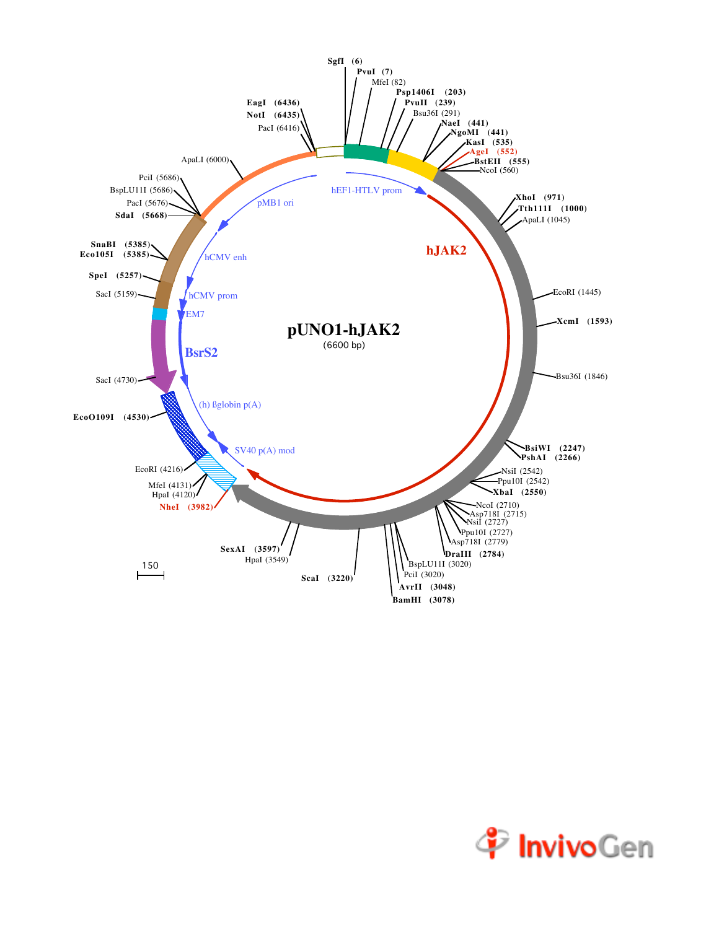

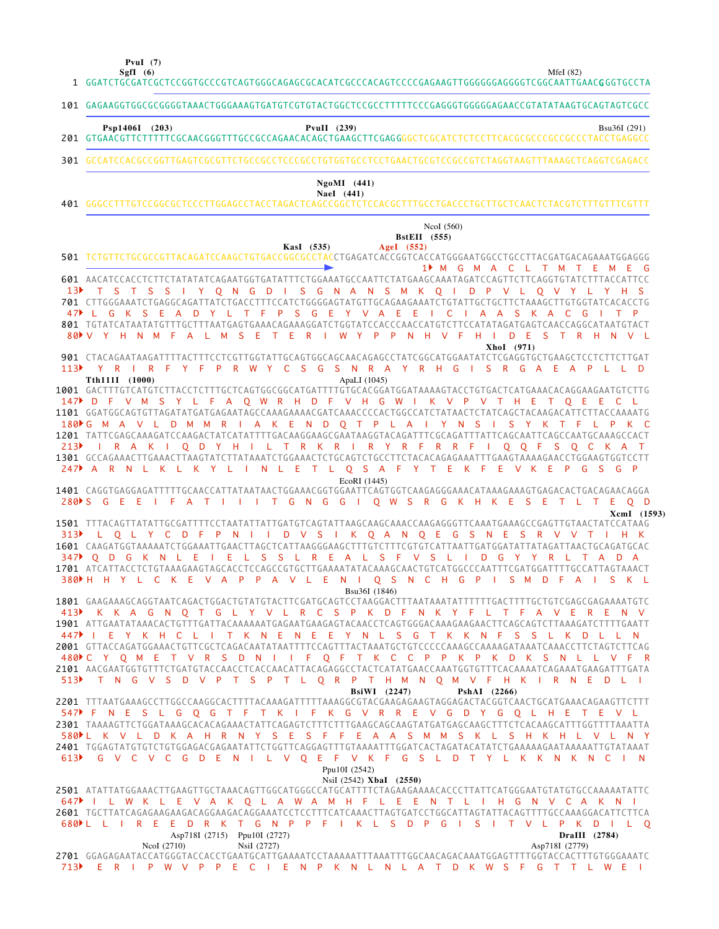**PvuI (7)**

MfeI (82)

GGATCTGCGATCGCTCCGGTGCCCGTCAGTGGGCAGAGCGCACATCGCCCACAGTCCCCGAGAAGTTGGGGGGAGGGGTCGGCAATTGAACG GGTGCCTA 1 **SgfI (6)**

101 GAGAAGGTGGCGCGGGGTAAACTGGGAAAGTGATGTCGTGTACTGGCTCCGCCTTTTTCCCGAGGGTGGGGGAGAACCGTATATAAGTGCAGTAGTCGCC GTGAACGTTCTTTTTCGCAACGGGTTTGCCGCCAGAACACAGCTGAAGCTTCGAG GGGCTCGCATCTCTCCTTCACGCGCCCGCCGCCCTACCTGAGGCC 201 GCCATCCACGCCGGTTGAGTCGCGTTCTGCCGCCTCCCGCCTGTGGTGCCTCCTGAACTGCGTCCGCCGTCTAGGTAAGTTTAAAGCTCAGGTCGAGACC GGGCCTTTGTCCGGCGCTCCCTTGGAGCCTACCTAGACTCAGCCGGCTCTCCACGCTTTGCCTGACCCTGCTTGCTCAACTCTACGTCTTTGTTTCGTTT 401 TCTGTTCTGCGCCGTTACAGATCCAAGCTGTGACCGGCGCCTACCTGAGATCACCGGTCACCATGGGAATGGCCTGCCTTACGATGACAGAAATGGAGGG 501 AACATCCACCTCTTCTATATATCAGAATGGTGATATTTCTGGAAATGCCAATTCTATGAAGCAAATAGATCCAGTTCTTCAGGTGTATCTTTACCATTCC 601 701 CTTGGGAAATCTGAGGCAGATTATCTGACCTTTCCATCTGGGGAGTATGTTGCAGAAGAAATCTGTATTGCTTCTCTAAAGCTTGTGGTATCACACCTG TGTATCATAATATGTTTGCTTTAATGAGTGAAACAGAAAGGATCTGGTATCCACCCAACCATGTCTTCCATATAGATGAGTCAACCAGGCATAATGTACT 801 901 CTACAGAATAAGATTTTACTTTCCTCGTTGGTATTGCAGTGGCAGCAACAGAGCCTATCGGCATGGAATATCTCGAGGTGCTGAAGCTCCTCTTCTTGAT GACTTTGTCATGTCTTACCTCTTTGCTCAGTGGCGGCATGATTTTGTGCACGGATGGATAAAAGTACCTGTGACTCATGAAACACAGGAAGAATGTCTTG 1001 1101 GGATGGCAGTGTTAGATATGATGAGAATAGCCAAAGAAAACGATCAAACCCCACTGGCCATCTATAACTCTATCAGCTACAAGACATTCTTACCAAAATG 1201 TATTCGAGCAAAGATCCAAGACTATCATATTTTGACAAGGAAGCGAATAAGGTACAGATTTCGCAGATTTATTCAGCAATTCAGCCAATGCAAAGCCACT 1301 GCCAGAAACTTGAAACTTAAGTATCTTATAAATCTGGAAACTCTGCAGTCTGCCTTCTACACAGAGAAATTTGAAGTAAAAGAACCTGGAAGTGGTCCTT CAGGTGAGGAGATTTTTGCAACCATTATAATAACTGGAAACGGTGGAATTCAGTGGTCAAGAGGGAAACATAAAGAAAGTGAGACACTGACAGAACAGGA 1401 TTTACAGTTATATTGCGATTTTCCTAATATTATTGATGTCAGTATTAAGCAAGCAAACCAAGAGGGTTCAAATGAAAGCCGAGTTGTAACTATCCATAAG 1501 1601 CAAGATGGTAAAAATCTGGAAATTGAACTTAGCTCATTAAGGGAAGCTTTGTCTTTCGTGTCATTAATTGATGGATATTATAGATTAACTGCAGATGCAC 1701 ATCATTACCTCTGTAAAGAAGTAGCACCTCCAGCCGTGCTTGAAAATATACAAAGCAACTGTCATGGCCCAATTTCGATGGATTTTGCCATTAGTAAACT GAAGAAAGCAGGTAATCAGACTGGACTGTATGTACTTCGATGCAGTCCTAAGGACTTTAATAAATATTTTTTGACTTTTGCTGTCGAGCGAGAAAATGTC 1801 1901 ATTGAATATAAACACTGTTTGATTACAAAAAATGAGAATGAAGAGTACAACCTCAGTGGGACAAAGAAGAACTTCAGCAGTCTTAAAGATCTTTTGAATT 2001 GTTACCAGATGGAAACTGTTCGCTCAGACAATATAATTTTCCAGTTTACTAAATGCTGTCCCCCAAAGCCAAAAGATAAATCAAACCTTCTAGTCTTCAG 2**101** AACGAATGGTGTTTCTGATGTACCAACCTCACCAACATTACAGAGGCCTACTCATATGAACCAAATGGTGTTTCACAAAATCAGAAATGAAGATTTGATA 2201 TTTAATGAAAGCCTTGGCCAAGGCACTTTTACAAAGATTTTTAAAGGCGTACGAAGAGAAGTAGGAGACTACGGTCAACTGCATGAAACAGAAGTTCTTT TAAAAGTTCTGGATAAAGCACACAGAAACTATTCAGAGTCTTTCTTTGAAGCAGCAAGTATGATGAGCAAGCTTTCTCACAAGCATTTGGTTTTAAATTA 2301 2401 TGGAGTATGTGTCTGTGGAGACGAGAATATTCTGGTTCAGGAGTTTGTAAAATTTGGATCACTAGATACATATCTGAAAAAGAATAAAAATTGTATAAAT ATATTATGGAAACTTGAAGTTGCTAAACAGTTGGCATGGGCCATGCATTTTCTAGAAGAAAACACCCTTATTCATGGGAATGTATGTGCCAAAAATATTC 2501 2601 TGCTTATCAGAGAAGAAGACAGGAAGACAGGAAATCCTCCTTTCATCAAACTTAGTGATCCTGGCATTAGTATTACAGTTTTGCCAAAGGACATTCTTCA 2701 GGAGAGAATACCATGGGTACCACCTGAATGCATTGAAAATCCTAAAAATTTAAATTTGGCAACAGACAAATGGAGTTTTGGTACCACTTTGTGGGAAATC M G M A C L T M T E M E G 1 13 F T S T S S I Y Q N G D I S G N A N S M K Q I D P V L Q V Y L Y H S L G K S E A D Y L T F P S G E Y V A E E I C I A A S K A C G I T P 4 7 V Y H N M F A L M S E T E R I W Y P P N H V F H I D E S T R H N V L 8 0 Y R I R F Y F P R W Y C S G S N R A Y R H G I S R G A E A P L L D 113 D F V M S Y L F A Q W R H D F V H G W I K V P V T H E T Q E E C L 147 180Þ G M A V L D M M R I A K E N D Q T P L A I Y N S I S Y K T F L P K C I R A K I Q D Y H I L T R K R I R Y R F R R F I Q Q F S Q C K A T A R N L K L K Y L I N L E T L Q S A F Y T E K F E V K E P G S G P 247 280NS G E E I FAT I II T G N G G I Q W S R G K H K E S E T L T E Q D L Q L Y C D F P N I I D V S I K Q A N Q E G S N E S R V V T I H K 313 Q D G K N L E I E L S S L R E A L S F V S L I D G Y Y R L T A D A H H Y L C K E V A P P A V L E N I Q S N C H G P I S M D F A I S K L 380 K K A G N Q T G L Y V L R C S P K D F N K Y F L T F A V E R E N V 413 447 PIE Y K H C L I T K N E N E E Y N L S G T K K N F S S L K D L L N 480PC Y Q M E T V R S D N I I F Q F T K C C P P K P K D K S N L L V F R T N G V S D V P T S P T L Q R P T H M N Q M V F H K I R N E D L I 513 F N E S L G Q G T F T K I F K G V R R E V G D Y G Q L H E T E V L 547 L K V L D K A H R N Y S E S F F E A A S M M S K L S H K H L V L N Y 580 V Q E F V K F G S L D T Y L K K N K N C I I L W K L E V A K Q L A W A M H F L E E N T L I H G N V C A K N I 647 L L I R E E D R K T G N P P F I K L S D P G I S I T V L P K D I L Q 680 E R I P W V P P E C I E N P K N L N L A T D K W S F G T T L W E I 713 **Psp1406I (203) PvuII (239)** Bsu36I (291) **NaeI (441) NgoMI (441) KasI (535) AgeI (552) BstEII (555)** NcoI (560) **XhoI (971) Tth111I (1000)** ApaLI (1045) EcoRI (1445) **XcmI (1593)** Bsu36I (1846) **BsiWI (2247) PshAI (2266)** NsiI (2542) **XbaI (2550)** Ppu10I (2542) NcoI (2710) Asp718I (2715) Ppu10I (2727) NsiI (2727) Asp718I (2779) **DraIII (2784)** 301  $213$ 347 **0 D G K N L E I** 613 G V C V C G D E N I L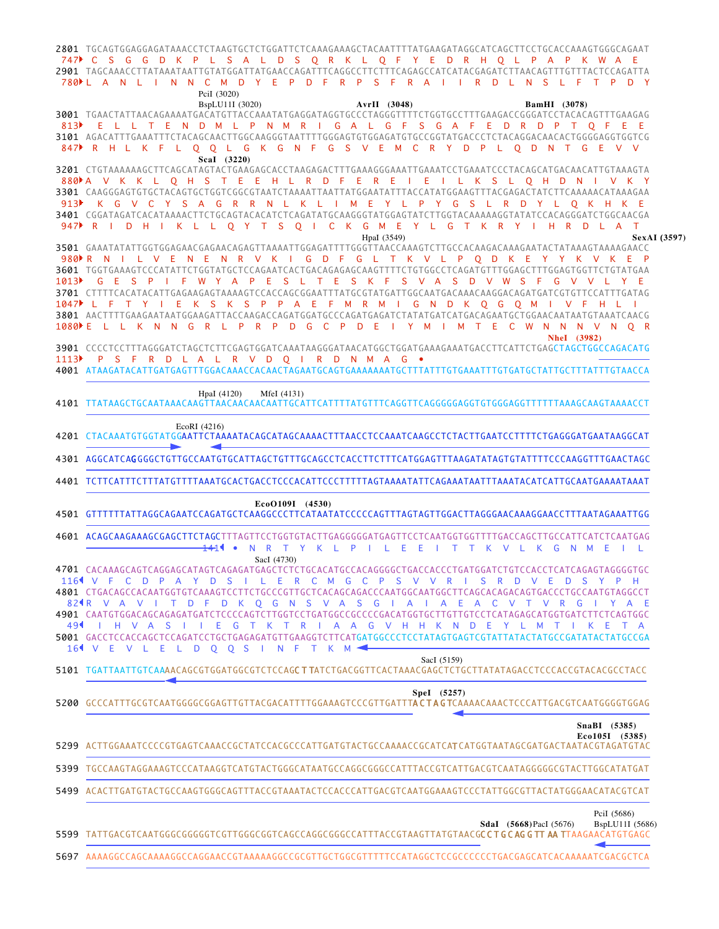TGCAGTGGAGGAGATAAACCTCTAAGTGCTCTGGATTCTCAAAGAAAGCTACAATTTTATGAAGATAGGCATCAGCTTCCTGCACCAAAGTGGGCAGAAT 2801 TAGCAAACCTTATAAATAATTGTATGGATTATGAACCAGATTTCAGGCCTTCTTTCAGAGCCATCATACGAGATCTTAACAGTTTGTTTACTCCAGATTA 2901 C S G G D K P L S A L D S Q R K L Q F Y E D R H Q L P A P K W A E 747 780ÞLANL INN CM DYEP DFRP SFRAIIR DLN SLFTP DY

|      | PciI (3020)                                                                                                                                                                                                                                                                                                                                                                                                                                                                                                                                                                 |
|------|-----------------------------------------------------------------------------------------------------------------------------------------------------------------------------------------------------------------------------------------------------------------------------------------------------------------------------------------------------------------------------------------------------------------------------------------------------------------------------------------------------------------------------------------------------------------------------|
| 813  | BspLU11I (3020)<br>AvrII (3048)<br><b>BamHI</b> (3078)<br>3001 TGAACTATTAACAGAAAATGACATGTTACCAAATATGAGGATAGGTGCCCTAGGGTTTTCTGGTGCCTTTGAAGACCGGGATCCTACACAGTTTGAAGAG<br>E L L T E N D M L P N M R I G A L G F S G A F E D R D P T O F E E                                                                                                                                                                                                                                                                                                                                    |
|      | 3101 AGACATTTGAAATTTCTACAGCAACTTGGCAAGGGTAATTTTGGGAGTGTGGAGATGTGCCGGTATGACCCTCTACAGGACAACACTGGGGAGGTGGTCG<br>847 R H L K F L Q Q L G K G N F G S V E M C R Y D P L Q D N T G E V V                                                                                                                                                                                                                                                                                                                                                                                          |
| 913  | Scal (3220)<br>3201 CTGTAAAAAAGCTTCAGCATAGTACTGAAGAGCACCTAAGAGACTTTGAAAGGGAAATTGAAATCCTGAAATCCCTACAGCATGACAACATTGTAAAGTA<br>880MA V K K L Q H S T E E H L R D F E R E I E I L K S L Q H D N I V K Y<br>K G V C Y S A G R R N L K L I M E Y L P Y G S L R D Y L Q K H K E<br>3401 CGGATAGATCACATAAAACTTCTGCAGTACACATCTCAGATATGCAAGGGTATGGAGTATCTTGGTACAAAAAGGTATATCCACAGGGATCTGGCAACGA<br>947 RID HIKLLOYTS OICK GMEYL GT KRYIHRD LA<br>$\top$                                                                                                                               |
| 1013 | HpaI (3549)<br>SexAI (3597)<br>3501 GAAATATATTGGTGGAGAACGAGAACAGAGTTAAAATTGGAGATTTTGGGTTAACCAAAGTCTTGCCACAAGACAAAGAATACTATAAAGTAAAAGAACC<br>980NR N I L V E N E N R V K I G D F G L T K V L P Q D K E Y Y K V K E P<br>3601 TGGTGAAAGTCCCATATTCTGGTATGCTCCAGAATCACTGACAGAGAGCAAGTTTTCTGTGGCCTCAGATGTTTGGAGCTTTGGAGTGGTTCTGTATGAA<br>G E S P I F W Y A P E S L T E S K F S V A S D V W S F G V V L Y E<br>1047 L F T Y I<br>E K S K S P P A E F M R M I G N D K O G O M I V F H L<br>1080 E L L K N N G R L P R P D G C P D E I Y M I M T E C W N N N V N O R<br>NheI (3982) |
| 1113 | P S F R D L A L R V D O I R D N M A G $\bullet$<br>4001 ATAAGATACATTGATGAGTTTGGACAAACCACAACTAGAATGCAGTGAAAAAATGCTTTATTTGTGAAATTTGTGATGCTATTGCTTTATTTGTAACCA                                                                                                                                                                                                                                                                                                                                                                                                                 |
|      | HpaI (4120)<br>MfeI (4131)                                                                                                                                                                                                                                                                                                                                                                                                                                                                                                                                                  |
|      | EcoRI (4216)<br>4201 CTACAAATGTGGTATGGAATTCTAAAATACAGCATAGCAAAACTTTAACCTCCAAATCAAGCCTCTACTTGAATCCTTTTCTGAGGGATGAATAAGGCAT                                                                                                                                                                                                                                                                                                                                                                                                                                                   |
|      | 4301 AGGCATCAGGGGCTGTTGCCAATGTGCATTAGCTGTTTGCAGCCTCACCTTCTTTCATGGAGTTTAAGATATAGTGTATTTTCCCAAGGTTTGAACTAGC                                                                                                                                                                                                                                                                                                                                                                                                                                                                   |
|      |                                                                                                                                                                                                                                                                                                                                                                                                                                                                                                                                                                             |
|      | EcoO109I (4530)<br>4501 GTTTTTTATTAGGCAGAATCCAGATGCTCAAGGCCCTTCATAATATCCCCCAGTTTAGTAGTTGGACTTAGGGAACAAAGGAACCTTTAATAGAAATTGG                                                                                                                                                                                                                                                                                                                                                                                                                                                |
|      | 4601 ACAGCAAGAAAGCGAGCTTCTAGCTTTAGTTCCTGGTGTACTTGAGGGGGATGAGTTCCTCAATGGTGGTTTTGACCAGCTTGCCATTCATCTCAATGAG<br>1411 •<br>N R T Y K L P I L E E I T T K V L K G N M E I L<br>SacI (4730)                                                                                                                                                                                                                                                                                                                                                                                       |
|      | 4701 CACAAAGCAGTCAGGAGCATAGTCAGAGATGAGCTCTCTGCACATGCCACAGGGGCTGACCACCCTGATGGATCTGTCCACCTCATCAGAGTAGGGGTGC<br>116 V F C D P A Y D S<br>- L -<br>-E.<br>$\mathsf{R}$<br>C M<br>G C P S V V<br>R<br><sub>S</sub><br>$\mathsf{R}$<br>$\vee$<br>-E<br>$\sim$ 1.<br>D<br>D<br>- S                                                                                                                                                                                                                                                                                                 |
|      | 824R V A V I T D F D K Q G N S V A S G I A I A E A C V T V R G I Y A E                                                                                                                                                                                                                                                                                                                                                                                                                                                                                                      |
| 491  | 4901 CAATGTGGACAGCAGAGATGATCTCCCCAGTCTTGGTCCTGATGGCCGCCCCGACATGGTGCTTGTTGTCCTCATAGAGCATGGTGATCTTCTCAGTGGC<br>I H V A S I<br>EGTKTRI<br>A A G V H H K N D E Y L M T I<br>5001 GACCTCCACCAGCTCCAGATCCTGCTGAGAGATGTTGAAGGTCTTCATGATGGCCCTCCTATAGTGAGTCGTATTATACTATGCCGATATACTATGCCGA                                                                                                                                                                                                                                                                                           |
|      | 16 V E V L E L D O O S I N F T<br>K<br>M<br>SacI (5159)<br>5101 TGATTAATTGTCAAAACAGCGTGGATGGCGTCTCCAG <b>CTTA</b> TCTGACGGTTCACTAAACGAGCTCTGCTTATATAGACCTCCCACCGTACACGCCTACC                                                                                                                                                                                                                                                                                                                                                                                                |
|      | Spel (5257)                                                                                                                                                                                                                                                                                                                                                                                                                                                                                                                                                                 |
|      | SnaBI (5385)<br>Eco105I (5385)<br>5299 ACTTGGAAATCCCCGTGAGTCAAACCGCTATCCACGCCCATTGATGTACTGCCAAAACCGCATCATGGTAATAGCGATGACTAATACGTAGATGTCAC                                                                                                                                                                                                                                                                                                                                                                                                                                   |
|      | 5399 TGCCAAGTAGGAAAGTCCCATAAGGTCATGTACTGGGCATAATGCCAGGCGGGCCATTTACCGTCATTGACGTCAATAGGGGGCGTACTTGGCATATGAT                                                                                                                                                                                                                                                                                                                                                                                                                                                                   |
|      | 5499 ACACTTGATGTACTGCCAAGTGGGCAGTTTACCGTAAATACTCCACCCATTGACGTCAATGGAAAGTCCCTATTGGCGTTACTATGGGAACATACGTCAT                                                                                                                                                                                                                                                                                                                                                                                                                                                                   |
|      | PciI (5686)<br><b>SdaI</b> (5668) PacI (5676)<br>BspLU11I (5686)                                                                                                                                                                                                                                                                                                                                                                                                                                                                                                            |
|      | 5599 TATTGACGTCAATGGGCGGGGTCGTTGGGCGGTCAGCCAGGCGGCCATTTACCGTAAGTTATGTAACGCCTGCAGGTTAA TTAAGAACATGTGAGC                                                                                                                                                                                                                                                                                                                                                                                                                                                                      |
|      | 5697 AAAAGGCCAGCAAAAGGCCAGGAACCGTAAAAAGGCCGCGTTGCTGGCGTTTTTCCATAGGCTCCGCCCCCTGACGAGCATCACAAAAATCGACGCTCA                                                                                                                                                                                                                                                                                                                                                                                                                                                                    |